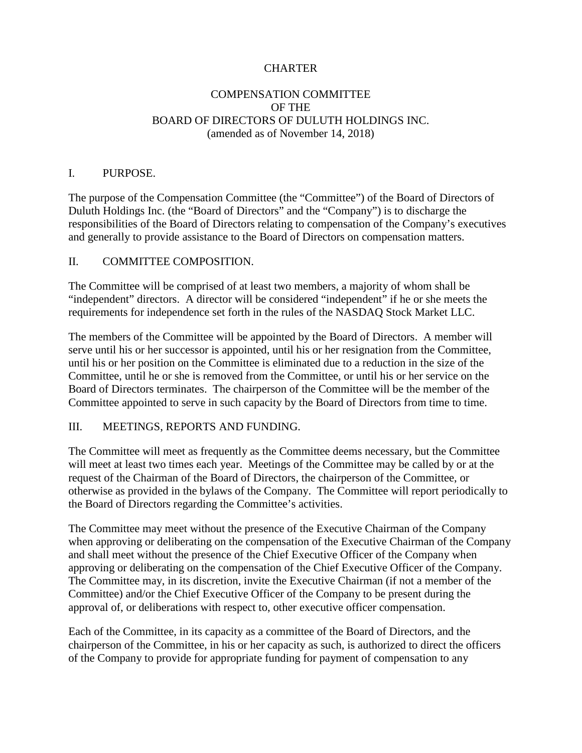# **CHARTER**

### COMPENSATION COMMITTEE OF THE BOARD OF DIRECTORS OF DULUTH HOLDINGS INC. (amended as of November 14, 2018)

### I. PURPOSE.

The purpose of the Compensation Committee (the "Committee") of the Board of Directors of Duluth Holdings Inc. (the "Board of Directors" and the "Company") is to discharge the responsibilities of the Board of Directors relating to compensation of the Company's executives and generally to provide assistance to the Board of Directors on compensation matters.

### II. COMMITTEE COMPOSITION.

The Committee will be comprised of at least two members, a majority of whom shall be "independent" directors. A director will be considered "independent" if he or she meets the requirements for independence set forth in the rules of the NASDAQ Stock Market LLC.

The members of the Committee will be appointed by the Board of Directors. A member will serve until his or her successor is appointed, until his or her resignation from the Committee, until his or her position on the Committee is eliminated due to a reduction in the size of the Committee, until he or she is removed from the Committee, or until his or her service on the Board of Directors terminates. The chairperson of the Committee will be the member of the Committee appointed to serve in such capacity by the Board of Directors from time to time.

#### III. MEETINGS, REPORTS AND FUNDING.

The Committee will meet as frequently as the Committee deems necessary, but the Committee will meet at least two times each year. Meetings of the Committee may be called by or at the request of the Chairman of the Board of Directors, the chairperson of the Committee, or otherwise as provided in the bylaws of the Company. The Committee will report periodically to the Board of Directors regarding the Committee's activities.

The Committee may meet without the presence of the Executive Chairman of the Company when approving or deliberating on the compensation of the Executive Chairman of the Company and shall meet without the presence of the Chief Executive Officer of the Company when approving or deliberating on the compensation of the Chief Executive Officer of the Company. The Committee may, in its discretion, invite the Executive Chairman (if not a member of the Committee) and/or the Chief Executive Officer of the Company to be present during the approval of, or deliberations with respect to, other executive officer compensation.

Each of the Committee, in its capacity as a committee of the Board of Directors, and the chairperson of the Committee, in his or her capacity as such, is authorized to direct the officers of the Company to provide for appropriate funding for payment of compensation to any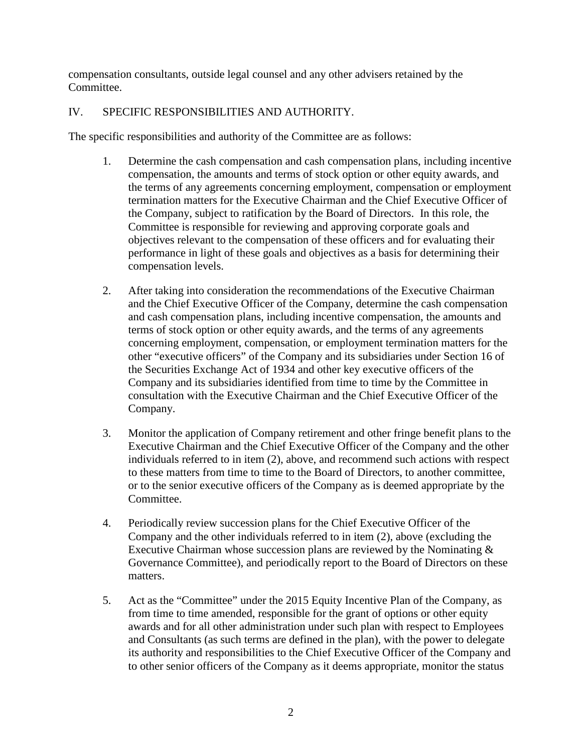compensation consultants, outside legal counsel and any other advisers retained by the Committee.

# IV. SPECIFIC RESPONSIBILITIES AND AUTHORITY.

The specific responsibilities and authority of the Committee are as follows:

- 1. Determine the cash compensation and cash compensation plans, including incentive compensation, the amounts and terms of stock option or other equity awards, and the terms of any agreements concerning employment, compensation or employment termination matters for the Executive Chairman and the Chief Executive Officer of the Company, subject to ratification by the Board of Directors. In this role, the Committee is responsible for reviewing and approving corporate goals and objectives relevant to the compensation of these officers and for evaluating their performance in light of these goals and objectives as a basis for determining their compensation levels.
- 2. After taking into consideration the recommendations of the Executive Chairman and the Chief Executive Officer of the Company, determine the cash compensation and cash compensation plans, including incentive compensation, the amounts and terms of stock option or other equity awards, and the terms of any agreements concerning employment, compensation, or employment termination matters for the other "executive officers" of the Company and its subsidiaries under Section 16 of the Securities Exchange Act of 1934 and other key executive officers of the Company and its subsidiaries identified from time to time by the Committee in consultation with the Executive Chairman and the Chief Executive Officer of the Company.
- 3. Monitor the application of Company retirement and other fringe benefit plans to the Executive Chairman and the Chief Executive Officer of the Company and the other individuals referred to in item (2), above, and recommend such actions with respect to these matters from time to time to the Board of Directors, to another committee, or to the senior executive officers of the Company as is deemed appropriate by the Committee.
- 4. Periodically review succession plans for the Chief Executive Officer of the Company and the other individuals referred to in item (2), above (excluding the Executive Chairman whose succession plans are reviewed by the Nominating  $\&$ Governance Committee), and periodically report to the Board of Directors on these matters.
- 5. Act as the "Committee" under the 2015 Equity Incentive Plan of the Company, as from time to time amended, responsible for the grant of options or other equity awards and for all other administration under such plan with respect to Employees and Consultants (as such terms are defined in the plan), with the power to delegate its authority and responsibilities to the Chief Executive Officer of the Company and to other senior officers of the Company as it deems appropriate, monitor the status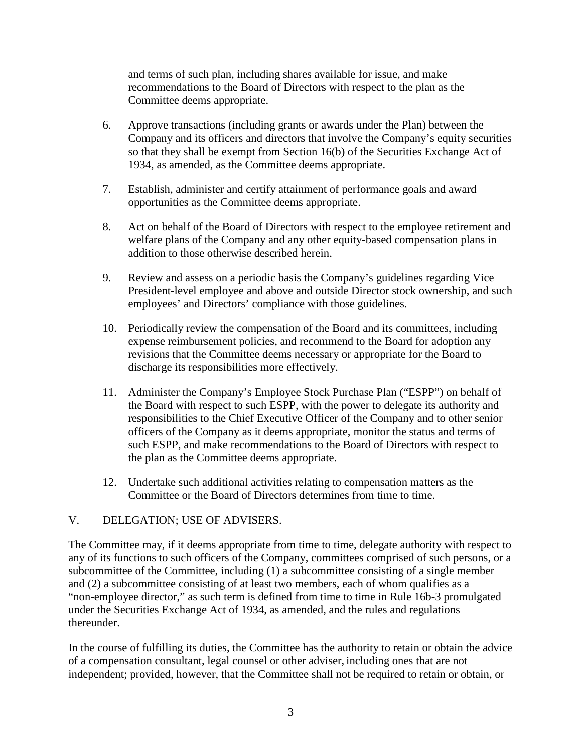and terms of such plan, including shares available for issue, and make recommendations to the Board of Directors with respect to the plan as the Committee deems appropriate.

- 6. Approve transactions (including grants or awards under the Plan) between the Company and its officers and directors that involve the Company's equity securities so that they shall be exempt from Section 16(b) of the Securities Exchange Act of 1934, as amended, as the Committee deems appropriate.
- 7. Establish, administer and certify attainment of performance goals and award opportunities as the Committee deems appropriate.
- 8. Act on behalf of the Board of Directors with respect to the employee retirement and welfare plans of the Company and any other equity-based compensation plans in addition to those otherwise described herein.
- 9. Review and assess on a periodic basis the Company's guidelines regarding Vice President-level employee and above and outside Director stock ownership, and such employees' and Directors' compliance with those guidelines.
- 10. Periodically review the compensation of the Board and its committees, including expense reimbursement policies, and recommend to the Board for adoption any revisions that the Committee deems necessary or appropriate for the Board to discharge its responsibilities more effectively.
- 11. Administer the Company's Employee Stock Purchase Plan ("ESPP") on behalf of the Board with respect to such ESPP, with the power to delegate its authority and responsibilities to the Chief Executive Officer of the Company and to other senior officers of the Company as it deems appropriate, monitor the status and terms of such ESPP, and make recommendations to the Board of Directors with respect to the plan as the Committee deems appropriate.
- 12. Undertake such additional activities relating to compensation matters as the Committee or the Board of Directors determines from time to time.

# V. DELEGATION; USE OF ADVISERS.

The Committee may, if it deems appropriate from time to time, delegate authority with respect to any of its functions to such officers of the Company, committees comprised of such persons, or a subcommittee of the Committee, including (1) a subcommittee consisting of a single member and (2) a subcommittee consisting of at least two members, each of whom qualifies as a "non-employee director," as such term is defined from time to time in Rule 16b-3 promulgated under the Securities Exchange Act of 1934, as amended, and the rules and regulations thereunder.

In the course of fulfilling its duties, the Committee has the authority to retain or obtain the advice of a compensation consultant, legal counsel or other adviser, including ones that are not independent; provided, however, that the Committee shall not be required to retain or obtain, or